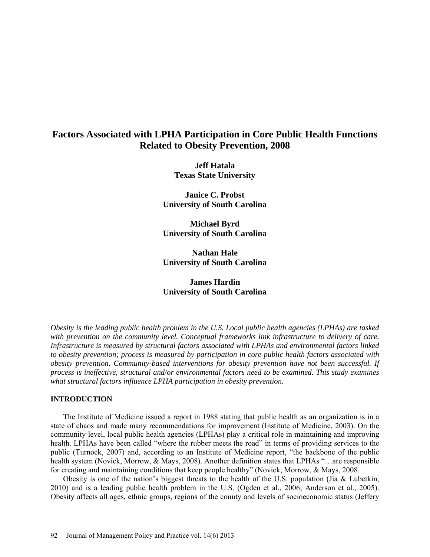# **Factors Associated with LPHA Participation in Core Public Health Functions Related to Obesity Prevention, 2008**

**Jeff Hatala Texas State University**

**Janice C. Probst University of South Carolina**

**Michael Byrd University of South Carolina**

**Nathan Hale University of South Carolina**

# **James Hardin University of South Carolina**

*Obesity is the leading public health problem in the U.S. Local public health agencies (LPHAs) are tasked with prevention on the community level. Conceptual frameworks link infrastructure to delivery of care. Infrastructure is measured by structural factors associated with LPHAs and environmental factors linked to obesity prevention; process is measured by participation in core public health factors associated with obesity prevention. Community-based interventions for obesity prevention have not been successful. If process is ineffective, structural and/or environmental factors need to be examined. This study examines what structural factors influence LPHA participation in obesity prevention.* 

# **INTRODUCTION**

The Institute of Medicine issued a report in 1988 stating that public health as an organization is in a state of chaos and made many recommendations for improvement (Institute of Medicine, 2003). On the community level, local public health agencies (LPHAs) play a critical role in maintaining and improving health. LPHAs have been called "where the rubber meets the road" in terms of providing services to the public (Turnock, 2007) and, according to an Institute of Medicine report, "the backbone of the public health system (Novick, Morrow, & Mays, 2008). Another definition states that LPHAs "…are responsible for creating and maintaining conditions that keep people healthy" (Novick, Morrow, & Mays, 2008.

Obesity is one of the nation's biggest threats to the health of the U.S. population (Jia & Lubetkin, 2010) and is a leading public health problem in the U.S. (Ogden et al., 2006; Anderson et al., 2005). Obesity affects all ages, ethnic groups, regions of the county and levels of socioeconomic status (Jeffery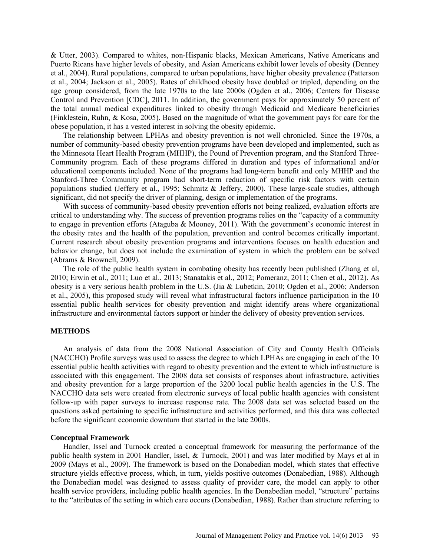& Utter, 2003). Compared to whites, non-Hispanic blacks, Mexican Americans, Native Americans and Puerto Ricans have higher levels of obesity, and Asian Americans exhibit lower levels of obesity (Denney et al., 2004). Rural populations, compared to urban populations, have higher obesity prevalence (Patterson et al., 2004; Jackson et al., 2005). Rates of childhood obesity have doubled or tripled, depending on the age group considered, from the late 1970s to the late 2000s (Ogden et al., 2006; Centers for Disease Control and Prevention [CDC], 2011. In addition, the government pays for approximately 50 percent of the total annual medical expenditures linked to obesity through Medicaid and Medicare beneficiaries (Finklestein, Ruhn, & Kosa, 2005). Based on the magnitude of what the government pays for care for the obese population, it has a vested interest in solving the obesity epidemic.

The relationship between LPHAs and obesity prevention is not well chronicled. Since the 1970s, a number of community-based obesity prevention programs have been developed and implemented, such as the Minnesota Heart Health Program (MHHP), the Pound of Prevention program, and the Stanford Three-Community program. Each of these programs differed in duration and types of informational and/or educational components included. None of the programs had long-term benefit and only MHHP and the Stanford-Three Community program had short-term reduction of specific risk factors with certain populations studied (Jeffery et al., 1995; Schmitz & Jeffery, 2000). These large-scale studies, although significant, did not specify the driver of planning, design or implementation of the programs.

With success of community-based obesity prevention efforts not being realized, evaluation efforts are critical to understanding why. The success of prevention programs relies on the "capacity of a community to engage in prevention efforts (Ataguba & Mooney, 2011). With the government's economic interest in the obesity rates and the health of the population, prevention and control becomes critically important. Current research about obesity prevention programs and interventions focuses on health education and behavior change, but does not include the examination of system in which the problem can be solved (Abrams & Brownell, 2009).

The role of the public health system in combating obesity has recently been published (Zhang et al, 2010; Erwin et al., 2011; Luo et al., 2013; Stanatakis et al., 2012; Pomeranz, 2011; Chen et al., 2012). As obesity is a very serious health problem in the U.S. (Jia & Lubetkin, 2010; Ogden et al., 2006; Anderson et al., 2005), this proposed study will reveal what infrastructural factors influence participation in the 10 essential public health services for obesity prevention and might identify areas where organizational infrastructure and environmental factors support or hinder the delivery of obesity prevention services.

# **METHODS**

An analysis of data from the 2008 National Association of City and County Health Officials (NACCHO) Profile surveys was used to assess the degree to which LPHAs are engaging in each of the 10 essential public health activities with regard to obesity prevention and the extent to which infrastructure is associated with this engagement. The 2008 data set consists of responses about infrastructure, activities and obesity prevention for a large proportion of the 3200 local public health agencies in the U.S. The NACCHO data sets were created from electronic surveys of local public health agencies with consistent follow-up with paper surveys to increase response rate. The 2008 data set was selected based on the questions asked pertaining to specific infrastructure and activities performed, and this data was collected before the significant economic downturn that started in the late 2000s.

## **Conceptual Framework**

Handler, Issel and Turnock created a conceptual framework for measuring the performance of the public health system in 2001 Handler, Issel, & Turnock, 2001) and was later modified by Mays et al in 2009 (Mays et al., 2009). The framework is based on the Donabedian model, which states that effective structure yields effective process, which, in turn, yields positive outcomes (Donabedian, 1988). Although the Donabedian model was designed to assess quality of provider care, the model can apply to other health service providers, including public health agencies. In the Donabedian model, "structure" pertains to the "attributes of the setting in which care occurs (Donabedian, 1988). Rather than structure referring to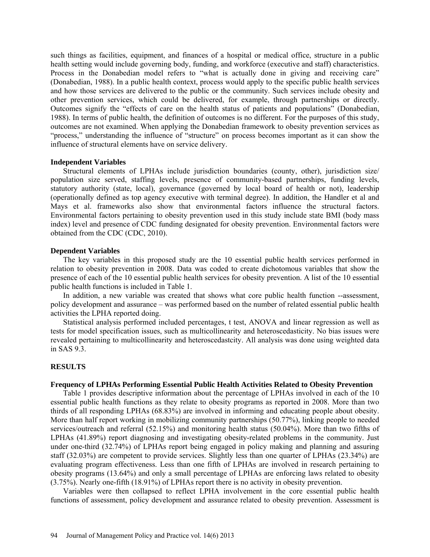such things as facilities, equipment, and finances of a hospital or medical office, structure in a public health setting would include governing body, funding, and workforce (executive and staff) characteristics. Process in the Donabedian model refers to "what is actually done in giving and receiving care" (Donabedian, 1988). In a public health context, process would apply to the specific public health services and how those services are delivered to the public or the community. Such services include obesity and other prevention services, which could be delivered, for example, through partnerships or directly. Outcomes signify the "effects of care on the health status of patients and populations" (Donabedian, 1988). In terms of public health, the definition of outcomes is no different. For the purposes of this study, outcomes are not examined. When applying the Donabedian framework to obesity prevention services as "process," understanding the influence of "structure" on process becomes important as it can show the influence of structural elements have on service delivery.

## **Independent Variables**

Structural elements of LPHAs include jurisdiction boundaries (county, other), jurisdiction size/ population size served, staffing levels, presence of community-based partnerships, funding levels, statutory authority (state, local), governance (governed by local board of health or not), leadership (operationally defined as top agency executive with terminal degree). In addition, the Handler et al and Mays et al. frameworks also show that environmental factors influence the structural factors. Environmental factors pertaining to obesity prevention used in this study include state BMI (body mass index) level and presence of CDC funding designated for obesity prevention. Environmental factors were obtained from the CDC (CDC, 2010).

# **Dependent Variables**

The key variables in this proposed study are the 10 essential public health services performed in relation to obesity prevention in 2008. Data was coded to create dichotomous variables that show the presence of each of the 10 essential public health services for obesity prevention. A list of the 10 essential public health functions is included in Table 1.

In addition, a new variable was created that shows what core public health function --assessment, policy development and assurance – was performed based on the number of related essential public health activities the LPHA reported doing.

Statistical analysis performed included percentages, t test, ANOVA and linear regression as well as tests for model specification issues, such as multicollinearity and heteroscedasticity. No bias issues were revealed pertaining to multicollinearity and heteroscedastcity. All analysis was done using weighted data in SAS 9.3.

# **RESULTS**

# **Frequency of LPHAs Performing Essential Public Health Activities Related to Obesity Prevention**

Table 1 provides descriptive information about the percentage of LPHAs involved in each of the 10 essential public health functions as they relate to obesity programs as reported in 2008. More than two thirds of all responding LPHAs (68.83%) are involved in informing and educating people about obesity. More than half report working in mobilizing community partnerships (50.77%), linking people to needed services/outreach and referral (52.15%) and monitoring health status (50.04%). More than two fifths of LPHAs (41.89%) report diagnosing and investigating obesity-related problems in the community. Just under one-third (32.74%) of LPHAs report being engaged in policy making and planning and assuring staff (32.03%) are competent to provide services. Slightly less than one quarter of LPHAs (23.34%) are evaluating program effectiveness. Less than one fifth of LPHAs are involved in research pertaining to obesity programs (13.64%) and only a small percentage of LPHAs are enforcing laws related to obesity (3.75%). Nearly one-fifth (18.91%) of LPHAs report there is no activity in obesity prevention.

Variables were then collapsed to reflect LPHA involvement in the core essential public health functions of assessment, policy development and assurance related to obesity prevention. Assessment is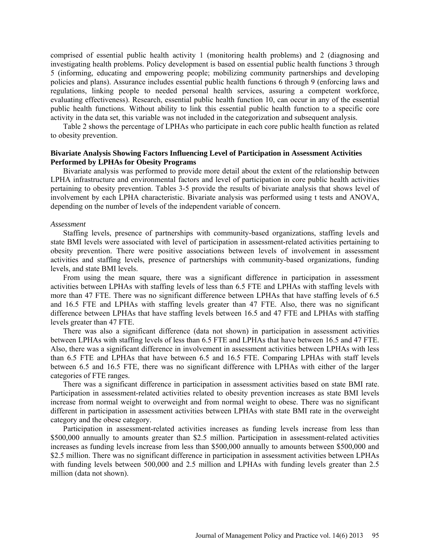comprised of essential public health activity 1 (monitoring health problems) and 2 (diagnosing and investigating health problems. Policy development is based on essential public health functions 3 through 5 (informing, educating and empowering people; mobilizing community partnerships and developing policies and plans). Assurance includes essential public health functions 6 through 9 (enforcing laws and regulations, linking people to needed personal health services, assuring a competent workforce, evaluating effectiveness). Research, essential public health function 10, can occur in any of the essential public health functions. Without ability to link this essential public health function to a specific core activity in the data set, this variable was not included in the categorization and subsequent analysis.

Table 2 shows the percentage of LPHAs who participate in each core public health function as related to obesity prevention.

# **Bivariate Analysis Showing Factors Influencing Level of Participation in Assessment Activities Performed by LPHAs for Obesity Programs**

Bivariate analysis was performed to provide more detail about the extent of the relationship between LPHA infrastructure and environmental factors and level of participation in core public health activities pertaining to obesity prevention. Tables 3-5 provide the results of bivariate analysis that shows level of involvement by each LPHA characteristic. Bivariate analysis was performed using t tests and ANOVA, depending on the number of levels of the independent variable of concern.

#### *Assessment*

Staffing levels, presence of partnerships with community-based organizations, staffing levels and state BMI levels were associated with level of participation in assessment-related activities pertaining to obesity prevention. There were positive associations between levels of involvement in assessment activities and staffing levels, presence of partnerships with community-based organizations, funding levels, and state BMI levels.

From using the mean square, there was a significant difference in participation in assessment activities between LPHAs with staffing levels of less than 6.5 FTE and LPHAs with staffing levels with more than 47 FTE. There was no significant difference between LPHAs that have staffing levels of 6.5 and 16.5 FTE and LPHAs with staffing levels greater than 47 FTE. Also, there was no significant difference between LPHAs that have staffing levels between 16.5 and 47 FTE and LPHAs with staffing levels greater than 47 FTE.

There was also a significant difference (data not shown) in participation in assessment activities between LPHAs with staffing levels of less than 6.5 FTE and LPHAs that have between 16.5 and 47 FTE. Also, there was a significant difference in involvement in assessment activities between LPHAs with less than 6.5 FTE and LPHAs that have between 6.5 and 16.5 FTE. Comparing LPHAs with staff levels between 6.5 and 16.5 FTE, there was no significant difference with LPHAs with either of the larger categories of FTE ranges.

There was a significant difference in participation in assessment activities based on state BMI rate. Participation in assessment-related activities related to obesity prevention increases as state BMI levels increase from normal weight to overweight and from normal weight to obese. There was no significant different in participation in assessment activities between LPHAs with state BMI rate in the overweight category and the obese category.

Participation in assessment-related activities increases as funding levels increase from less than \$500,000 annually to amounts greater than \$2.5 million. Participation in assessment-related activities increases as funding levels increase from less than \$500,000 annually to amounts between \$500,000 and \$2.5 million. There was no significant difference in participation in assessment activities between LPHAs with funding levels between 500,000 and 2.5 million and LPHAs with funding levels greater than 2.5 million (data not shown).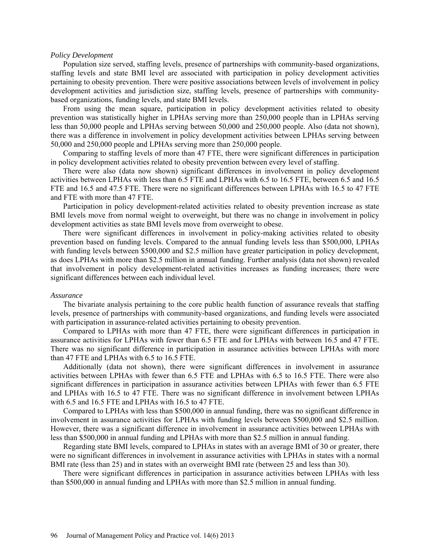#### *Policy Development*

Population size served, staffing levels, presence of partnerships with community-based organizations, staffing levels and state BMI level are associated with participation in policy development activities pertaining to obesity prevention. There were positive associations between levels of involvement in policy development activities and jurisdiction size, staffing levels, presence of partnerships with communitybased organizations, funding levels, and state BMI levels.

From using the mean square, participation in policy development activities related to obesity prevention was statistically higher in LPHAs serving more than 250,000 people than in LPHAs serving less than 50,000 people and LPHAs serving between 50,000 and 250,000 people. Also (data not shown), there was a difference in involvement in policy development activities between LPHAs serving between 50,000 and 250,000 people and LPHAs serving more than 250,000 people.

Comparing to staffing levels of more than 47 FTE, there were significant differences in participation in policy development activities related to obesity prevention between every level of staffing.

There were also (data now shown) significant differences in involvement in policy development activities between LPHAs with less than 6.5 FTE and LPHAs with 6.5 to 16.5 FTE, between 6.5 and 16.5 FTE and 16.5 and 47.5 FTE. There were no significant differences between LPHAs with 16.5 to 47 FTE and FTE with more than 47 FTE.

Participation in policy development-related activities related to obesity prevention increase as state BMI levels move from normal weight to overweight, but there was no change in involvement in policy development activities as state BMI levels move from overweight to obese.

There were significant differences in involvement in policy-making activities related to obesity prevention based on funding levels. Compared to the annual funding levels less than \$500,000, LPHAs with funding levels between \$500,000 and \$2.5 million have greater participation in policy development, as does LPHAs with more than \$2.5 million in annual funding. Further analysis (data not shown) revealed that involvement in policy development-related activities increases as funding increases; there were significant differences between each individual level.

#### *Assurance*

The bivariate analysis pertaining to the core public health function of assurance reveals that staffing levels, presence of partnerships with community-based organizations, and funding levels were associated with participation in assurance-related activities pertaining to obesity prevention.

Compared to LPHAs with more than 47 FTE, there were significant differences in participation in assurance activities for LPHAs with fewer than 6.5 FTE and for LPHAs with between 16.5 and 47 FTE. There was no significant difference in participation in assurance activities between LPHAs with more than 47 FTE and LPHAs with 6.5 to 16.5 FTE.

Additionally (data not shown), there were significant differences in involvement in assurance activities between LPHAs with fewer than 6.5 FTE and LPHAs with 6.5 to 16.5 FTE. There were also significant differences in participation in assurance activities between LPHAs with fewer than 6.5 FTE and LPHAs with 16.5 to 47 FTE. There was no significant difference in involvement between LPHAs with 6.5 and 16.5 FTE and LPHAs with 16.5 to 47 FTE.

Compared to LPHAs with less than \$500,000 in annual funding, there was no significant difference in involvement in assurance activities for LPHAs with funding levels between \$500,000 and \$2.5 million. However, there was a significant difference in involvement in assurance activities between LPHAs with less than \$500,000 in annual funding and LPHAs with more than \$2.5 million in annual funding.

Regarding state BMI levels, compared to LPHAs in states with an average BMI of 30 or greater, there were no significant differences in involvement in assurance activities with LPHAs in states with a normal BMI rate (less than 25) and in states with an overweight BMI rate (between 25 and less than 30).

There were significant differences in participation in assurance activities between LPHAs with less than \$500,000 in annual funding and LPHAs with more than \$2.5 million in annual funding.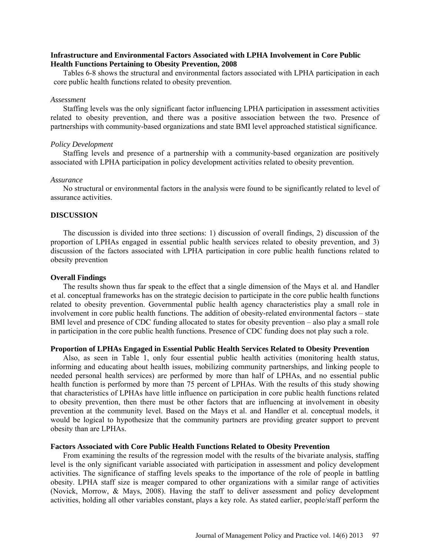# **Infrastructure and Environmental Factors Associated with LPHA Involvement in Core Public Health Functions Pertaining to Obesity Prevention, 2008**

Tables 6-8 shows the structural and environmental factors associated with LPHA participation in each core public health functions related to obesity prevention.

### *Assessment*

Staffing levels was the only significant factor influencing LPHA participation in assessment activities related to obesity prevention, and there was a positive association between the two. Presence of partnerships with community-based organizations and state BMI level approached statistical significance.

### *Policy Development*

Staffing levels and presence of a partnership with a community-based organization are positively associated with LPHA participation in policy development activities related to obesity prevention.

#### *Assurance*

No structural or environmental factors in the analysis were found to be significantly related to level of assurance activities.

### **DISCUSSION**

The discussion is divided into three sections: 1) discussion of overall findings, 2) discussion of the proportion of LPHAs engaged in essential public health services related to obesity prevention, and 3) discussion of the factors associated with LPHA participation in core public health functions related to obesity prevention

### **Overall Findings**

The results shown thus far speak to the effect that a single dimension of the Mays et al. and Handler et al. conceptual frameworks has on the strategic decision to participate in the core public health functions related to obesity prevention. Governmental public health agency characteristics play a small role in involvement in core public health functions. The addition of obesity-related environmental factors – state BMI level and presence of CDC funding allocated to states for obesity prevention – also play a small role in participation in the core public health functions. Presence of CDC funding does not play such a role.

## **Proportion of LPHAs Engaged in Essential Public Health Services Related to Obesity Prevention**

Also, as seen in Table 1, only four essential public health activities (monitoring health status, informing and educating about health issues, mobilizing community partnerships, and linking people to needed personal health services) are performed by more than half of LPHAs, and no essential public health function is performed by more than 75 percent of LPHAs. With the results of this study showing that characteristics of LPHAs have little influence on participation in core public health functions related to obesity prevention, then there must be other factors that are influencing at involvement in obesity prevention at the community level. Based on the Mays et al. and Handler et al. conceptual models, it would be logical to hypothesize that the community partners are providing greater support to prevent obesity than are LPHAs.

## **Factors Associated with Core Public Health Functions Related to Obesity Prevention**

From examining the results of the regression model with the results of the bivariate analysis, staffing level is the only significant variable associated with participation in assessment and policy development activities. The significance of staffing levels speaks to the importance of the role of people in battling obesity. LPHA staff size is meager compared to other organizations with a similar range of activities (Novick, Morrow, & Mays, 2008). Having the staff to deliver assessment and policy development activities, holding all other variables constant, plays a key role. As stated earlier, people/staff perform the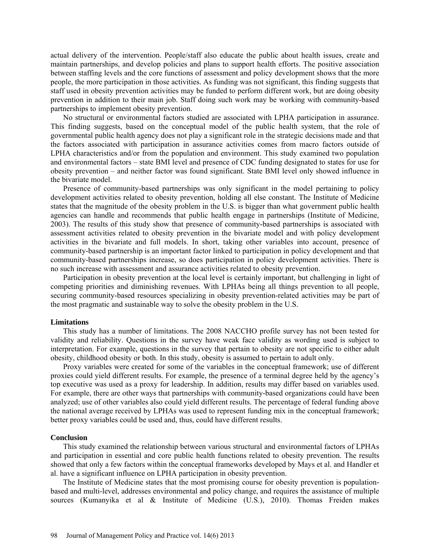actual delivery of the intervention. People/staff also educate the public about health issues, create and maintain partnerships, and develop policies and plans to support health efforts. The positive association between staffing levels and the core functions of assessment and policy development shows that the more people, the more participation in those activities. As funding was not significant, this finding suggests that staff used in obesity prevention activities may be funded to perform different work, but are doing obesity prevention in addition to their main job. Staff doing such work may be working with community-based partnerships to implement obesity prevention.

No structural or environmental factors studied are associated with LPHA participation in assurance. This finding suggests, based on the conceptual model of the public health system, that the role of governmental public health agency does not play a significant role in the strategic decisions made and that the factors associated with participation in assurance activities comes from macro factors outside of LPHA characteristics and/or from the population and environment. This study examined two population and environmental factors – state BMI level and presence of CDC funding designated to states for use for obesity prevention – and neither factor was found significant. State BMI level only showed influence in the bivariate model.

Presence of community-based partnerships was only significant in the model pertaining to policy development activities related to obesity prevention, holding all else constant. The Institute of Medicine states that the magnitude of the obesity problem in the U.S. is bigger than what government public health agencies can handle and recommends that public health engage in partnerships (Institute of Medicine, 2003). The results of this study show that presence of community-based partnerships is associated with assessment activities related to obesity prevention in the bivariate model and with policy development activities in the bivariate and full models. In short, taking other variables into account, presence of community-based partnership is an important factor linked to participation in policy development and that community-based partnerships increase, so does participation in policy development activities. There is no such increase with assessment and assurance activities related to obesity prevention.

Participation in obesity prevention at the local level is certainly important, but challenging in light of competing priorities and diminishing revenues. With LPHAs being all things prevention to all people, securing community-based resources specializing in obesity prevention-related activities may be part of the most pragmatic and sustainable way to solve the obesity problem in the U.S.

#### **Limitations**

This study has a number of limitations. The 2008 NACCHO profile survey has not been tested for validity and reliability. Questions in the survey have weak face validity as wording used is subject to interpretation. For example, questions in the survey that pertain to obesity are not specific to either adult obesity, childhood obesity or both. In this study, obesity is assumed to pertain to adult only.

Proxy variables were created for some of the variables in the conceptual framework; use of different proxies could yield different results. For example, the presence of a terminal degree held by the agency's top executive was used as a proxy for leadership. In addition, results may differ based on variables used. For example, there are other ways that partnerships with community-based organizations could have been analyzed; use of other variables also could yield different results. The percentage of federal funding above the national average received by LPHAs was used to represent funding mix in the conceptual framework; better proxy variables could be used and, thus, could have different results.

#### **Conclusion**

This study examined the relationship between various structural and environmental factors of LPHAs and participation in essential and core public health functions related to obesity prevention. The results showed that only a few factors within the conceptual frameworks developed by Mays et al. and Handler et al. have a significant influence on LPHA participation in obesity prevention.

The Institute of Medicine states that the most promising course for obesity prevention is populationbased and multi-level, addresses environmental and policy change, and requires the assistance of multiple sources (Kumanyika et al & Institute of Medicine (U.S.), 2010). Thomas Freiden makes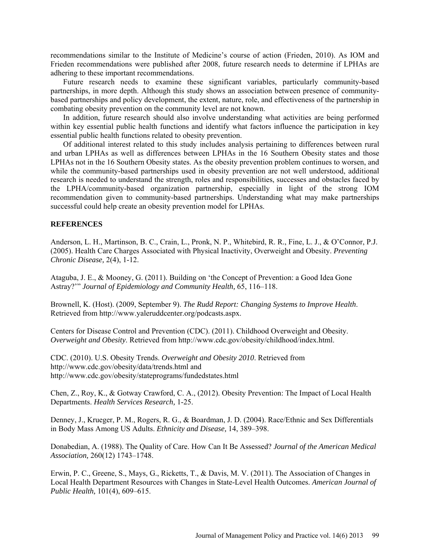recommendations similar to the Institute of Medicine's course of action (Frieden, 2010). As IOM and Frieden recommendations were published after 2008, future research needs to determine if LPHAs are adhering to these important recommendations.

Future research needs to examine these significant variables, particularly community-based partnerships, in more depth. Although this study shows an association between presence of communitybased partnerships and policy development, the extent, nature, role, and effectiveness of the partnership in combating obesity prevention on the community level are not known.

In addition, future research should also involve understanding what activities are being performed within key essential public health functions and identify what factors influence the participation in key essential public health functions related to obesity prevention.

Of additional interest related to this study includes analysis pertaining to differences between rural and urban LPHAs as well as differences between LPHAs in the 16 Southern Obesity states and those LPHAs not in the 16 Southern Obesity states. As the obesity prevention problem continues to worsen, and while the community-based partnerships used in obesity prevention are not well understood, additional research is needed to understand the strength, roles and responsibilities, successes and obstacles faced by the LPHA/community-based organization partnership, especially in light of the strong IOM recommendation given to community-based partnerships. Understanding what may make partnerships successful could help create an obesity prevention model for LPHAs.

# **REFERENCES**

Anderson, L. H., Martinson, B. C., Crain, L., Pronk, N. P., Whitebird, R. R., Fine, L. J., & O'Connor, P.J. (2005). Health Care Charges Associated with Physical Inactivity, Overweight and Obesity. *Preventing Chronic Disease,* 2(4), 1-12.

Ataguba, J. E., & Mooney, G. (2011). Building on 'the Concept of Prevention: a Good Idea Gone Astray?'" *Journal of Epidemiology and Community Health,* 65, 116–118.

Brownell, K. (Host). (2009, September 9). *The Rudd Report: Changing Systems to Improve Health*. Retrieved from [http://www.yaleruddcenter.org/podcasts.aspx.](http://www.yaleruddcenter.org/podcasts.aspx)

Centers for Disease Control and Prevention (CDC). (2011). Childhood Overweight and Obesity. *Overweight and Obesity*. Retrieved from [http://www.cdc.gov/obesity/childhood/index.html.](http://www.cdc.gov/obesity/childhood/index.html)

CDC. (2010). U.S. Obesity Trends. *Overweight and Obesity 2010*. Retrieved from <http://www.cdc.gov/obesity/data/trends.html> and <http://www.cdc.gov/obesity/stateprograms/fundedstates.html>

Chen, Z., Roy, K., & Gotway Crawford, C. A., (2012). Obesity Prevention: The Impact of Local Health Departments. *Health Services Research,* 1-25.

Denney, J., Krueger, P. M., Rogers, R. G., & Boardman, J. D. (2004). Race/Ethnic and Sex Differentials in Body Mass Among US Adults. *Ethnicity and Disease,* 14, 389–398.

Donabedian, A. (1988). The Quality of Care. How Can It Be Assessed? *Journal of the American Medical Association,* 260(12) 1743–1748.

Erwin, P. C., Greene, S., Mays, G., Ricketts, T., & Davis, M. V. (2011). The Association of Changes in Local Health Department Resources with Changes in State-Level Health Outcomes. *American Journal of Public Health,* 101(4), 609–615.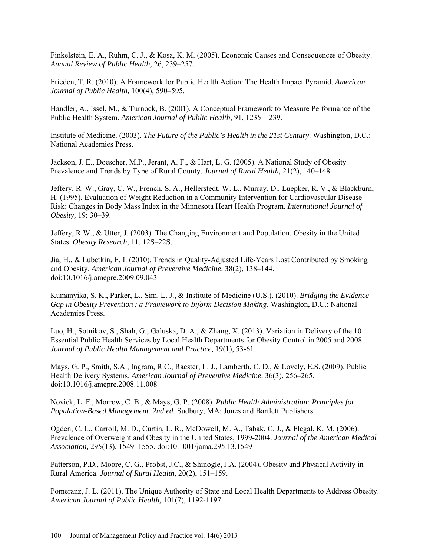Finkelstein, E. A., Ruhm, C. J., & Kosa, K. M. (2005). Economic Causes and Consequences of Obesity. *Annual Review of Public Health,* 26, 239–257.

Frieden, T. R. (2010). A Framework for Public Health Action: The Health Impact Pyramid. *American Journal of Public Health,* 100(4), 590–595.

Handler, A., Issel, M., & Turnock, B. (2001). A Conceptual Framework to Measure Performance of the Public Health System. *American Journal of Public Health,* 91, 1235–1239.

Institute of Medicine. (2003). *The Future of the Public's Health in the 21st Century*. Washington, D.C.: National Academies Press.

Jackson, J. E., Doescher, M.P., Jerant, A. F., & Hart, L. G. (2005). A National Study of Obesity Prevalence and Trends by Type of Rural County. *Journal of Rural Health,* 21(2), 140–148.

Jeffery, R. W., Gray, C. W., French, S. A., Hellerstedt, W. L., Murray, D., Luepker, R. V., & Blackburn, H. (1995). Evaluation of Weight Reduction in a Community Intervention for Cardiovascular Disease Risk: Changes in Body Mass Index in the Minnesota Heart Health Program. *International Journal of Obesity,* 19: 30–39.

Jeffery, R.W., & Utter, J. (2003). The Changing Environment and Population. Obesity in the United States. *Obesity Research,* 11, 12S–22S.

Jia, H., & Lubetkin, E. I. (2010). Trends in Quality-Adjusted Life-Years Lost Contributed by Smoking and Obesity. *American Journal of Preventive Medicine,* 38(2), 138–144. doi:10.1016/j.amepre.2009.09.043

Kumanyika, S. K., Parker, L., Sim. L. J., & Institute of Medicine (U.S.). (2010). *Bridging the Evidence Gap in Obesity Prevention : a Framework to Inform Decision Making*. Washington, D.C.: National Academies Press.

Luo, H., Sotnikov, S., Shah, G., Galuska, D. A., & Zhang, X. (2013). Variation in Delivery of the 10 Essential Public Health Services by Local Health Departments for Obesity Control in 2005 and 2008. *Journal of Public Health Management and Practice,* 19(1), 53-61.

Mays, G. P., Smith, S.A., Ingram, R.C., Racster, L. J., Lamberth, C. D., & Lovely, E.S. (2009). Public Health Delivery Systems. *American Journal of Preventive Medicine,* 36(3), 256–265. doi:10.1016/j.amepre.2008.11.008

Novick, L. F., Morrow, C. B., & Mays, G. P. (2008). *Public Health Administration: Principles for Population-Based Management. 2nd ed.* Sudbury, MA: Jones and Bartlett Publishers.

Ogden, C. L., Carroll, M. D., Curtin, L. R., McDowell, M. A., Tabak, C. J., & Flegal, K. M. (2006). Prevalence of Overweight and Obesity in the United States, 1999-2004. *Journal of the American Medical Association,* 295(13), 1549–1555. doi:10.1001/jama.295.13.1549

Patterson, P.D., Moore, C. G., Probst, J.C., & Shinogle, J.A. (2004). Obesity and Physical Activity in Rural America. *Journal of Rural Health,* 20(2), 151–159.

Pomeranz, J. L. (2011). The Unique Authority of State and Local Health Departments to Address Obesity. *American Journal of Public Health,* 101(7), 1192-1197.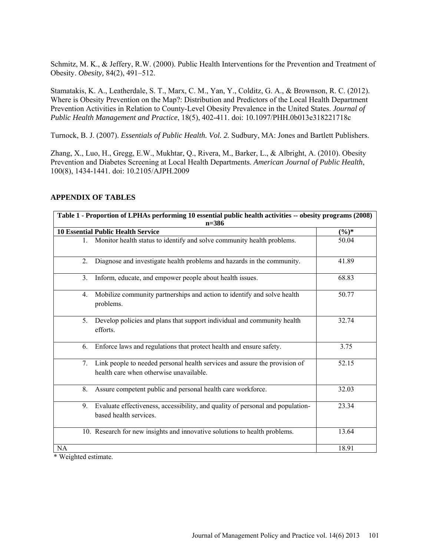Schmitz, M. K., & Jeffery, R.W. (2000). Public Health Interventions for the Prevention and Treatment of Obesity. *Obesity,* 84(2), 491–512.

Stamatakis, K. A., Leatherdale, S. T., Marx, C. M., Yan, Y., Colditz, G. A., & Brownson, R. C. (2012). Where is Obesity Prevention on the Map?: Distribution and Predictors of the Local Health Department Prevention Activities in Relation to County-Level Obesity Prevalence in the United States. *Journal of Public Health Management and Practice*, 18(5), 402-411. doi: 10.1097/PHH.0b013e318221718c

Turnock, B. J. (2007). *Essentials of Public Health. Vol. 2.* Sudbury, MA: Jones and Bartlett Publishers.

Zhang, X., Luo, H., Gregg, E.W., [Mukhtar, Q.](http://www.ncbi.nlm.nih.gov/pubmed?term=Mukhtar%20Q%5BAuthor%5D&cauthor=true&cauthor_uid=20558810), [Rivera, M.](http://www.ncbi.nlm.nih.gov/pubmed?term=Rivera%20M%5BAuthor%5D&cauthor=true&cauthor_uid=20558810), [Barker, L.](http://www.ncbi.nlm.nih.gov/pubmed?term=Barker%20L%5BAuthor%5D&cauthor=true&cauthor_uid=20558810), [& Albright, A.](http://www.ncbi.nlm.nih.gov/pubmed?term=Albright%20A%5BAuthor%5D&cauthor=true&cauthor_uid=20558810) (2010). Obesity Prevention and Diabetes Screening at Local Health Departments. *American Journal of Public Health*, 100(8), 1434-1441. doi: 10.2105/AJPH.2009

|    | Table 1 - Proportion of LPHAs performing 10 essential public health activities -- obesity programs (2008)<br>$n = 386$   |          |
|----|--------------------------------------------------------------------------------------------------------------------------|----------|
|    | <b>10 Essential Public Health Service</b>                                                                                | $(\%)^*$ |
| 1. | Monitor health status to identify and solve community health problems.                                                   | 50.04    |
| 2. | Diagnose and investigate health problems and hazards in the community.                                                   | 41.89    |
| 3. | Inform, educate, and empower people about health issues.                                                                 | 68.83    |
| 4. | Mobilize community partnerships and action to identify and solve health<br>problems.                                     | 50.77    |
|    | 5. Develop policies and plans that support individual and community health<br>efforts.                                   | 32.74    |
| 6. | Enforce laws and regulations that protect health and ensure safety.                                                      | 3.75     |
|    | 7. Link people to needed personal health services and assure the provision of<br>health care when otherwise unavailable. | 52.15    |
| 8. | Assure competent public and personal health care workforce.                                                              | 32.03    |
| 9. | Evaluate effectiveness, accessibility, and quality of personal and population-<br>based health services.                 | 23.34    |
|    | 10. Research for new insights and innovative solutions to health problems.                                               | 13.64    |
| NA |                                                                                                                          | 18.91    |

# **APPENDIX OF TABLES**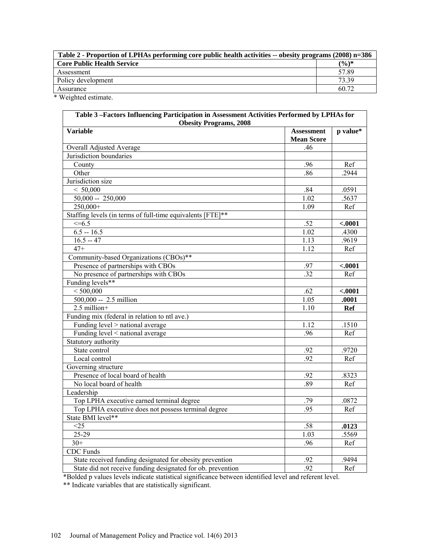| Table 2 - Proportion of LPHAs performing core public health activities -- obesity programs (2008) n=386 |       |  |
|---------------------------------------------------------------------------------------------------------|-------|--|
| <b>Core Public Health Service</b>                                                                       | (%)*  |  |
| Assessment                                                                                              | 57.89 |  |
| Policy development                                                                                      | 73.39 |  |
| Assurance                                                                                               | 60.72 |  |

\* Weighted estimate.

| Table 3-Factors Influencing Participation in Assessment Activities Performed by LPHAs for<br><b>Obesity Programs, 2008</b> |                                        |            |  |
|----------------------------------------------------------------------------------------------------------------------------|----------------------------------------|------------|--|
| <b>Variable</b>                                                                                                            | <b>Assessment</b><br><b>Mean Score</b> | p value*   |  |
| Overall Adjusted Average                                                                                                   | .46                                    |            |  |
| Jurisdiction boundaries                                                                                                    |                                        |            |  |
| County                                                                                                                     | .96                                    | Ref        |  |
| Other                                                                                                                      | .86                                    | 2944       |  |
| Jurisdiction size                                                                                                          |                                        |            |  |
| < 50,000                                                                                                                   | .84                                    | .0591      |  |
| $50,000 - 250,000$                                                                                                         | 1.02                                   | .5637      |  |
| 250,000+                                                                                                                   | 1.09                                   | Ref        |  |
| Staffing levels (in terms of full-time equivalents [FTE]**                                                                 |                                        |            |  |
| $\leq 6.5$                                                                                                                 | .52                                    | $-.0001$   |  |
| $6.5 - 16.5$                                                                                                               | 1.02                                   | .4300      |  |
| $16.5 - 47$                                                                                                                | 1.13                                   | .9619      |  |
| $47+$                                                                                                                      | 1.12                                   | Ref        |  |
| Community-based Organizations (CBOs)**                                                                                     |                                        |            |  |
| Presence of partnerships with CBOs                                                                                         | .97                                    | $-.0001$   |  |
| No presence of partnerships with CBOs                                                                                      | $\overline{.32}$                       | Ref        |  |
| Funding levels**                                                                                                           |                                        |            |  |
| < 500,000                                                                                                                  | .62                                    | $-.0001$   |  |
| 500,000 -- 2.5 million                                                                                                     | 1.05                                   | .0001      |  |
| $2.5$ million+                                                                                                             | 1.10                                   | <b>Ref</b> |  |
| Funding mix (federal in relation to ntl ave.)                                                                              |                                        |            |  |
| Funding level > national average                                                                                           | 1.12                                   | .1510      |  |
| Funding level < national average                                                                                           | .96                                    | Ref        |  |
| Statutory authority                                                                                                        |                                        |            |  |
| State control                                                                                                              | .92                                    | .9720      |  |
| Local control                                                                                                              | .92                                    | Ref        |  |
| Governing structure                                                                                                        |                                        |            |  |
| Presence of local board of health                                                                                          | .92                                    | .8323      |  |
| No local board of health                                                                                                   | .89                                    | Ref        |  |
| Leadership                                                                                                                 |                                        |            |  |
| Top LPHA executive earned terminal degree                                                                                  | .79                                    | .0872      |  |
| Top LPHA executive does not possess terminal degree                                                                        | 95                                     | Ref        |  |
| State BMI level**                                                                                                          |                                        |            |  |
| $\overline{\langle 25}$                                                                                                    | .58                                    | .0123      |  |
| 25-29                                                                                                                      | 1.03                                   | .5569      |  |
| $30+$                                                                                                                      | .96                                    | Ref        |  |
| <b>CDC</b> Funds                                                                                                           |                                        |            |  |
| State received funding designated for obesity prevention                                                                   | .92                                    | .9494      |  |
| State did not receive funding designated for ob. prevention                                                                | .92                                    | Ref        |  |

\*Bolded p values levels indicate statistical significance between identified level and referent level.

\*\* Indicate variables that are statistically significant.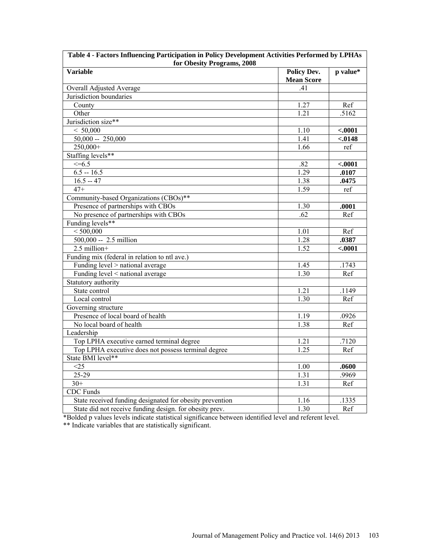| for Obesity Programs, 2008                               |                                         |          |  |
|----------------------------------------------------------|-----------------------------------------|----------|--|
| <b>Variable</b>                                          | <b>Policy Dev.</b><br><b>Mean Score</b> | p value* |  |
| Overall Adjusted Average                                 | .41                                     |          |  |
| Jurisdiction boundaries                                  |                                         |          |  |
| County                                                   | 1.27                                    | Ref      |  |
| Other                                                    | 1.21                                    | .5162    |  |
| Jurisdiction size**                                      |                                         |          |  |
| < 50,000                                                 | 1.10                                    | < .0001  |  |
| $50,000 - 250,000$                                       | $\overline{1.41}$                       | $-.0148$ |  |
| $250,000+$                                               | 1.66                                    | ref      |  |
| Staffing levels**                                        |                                         |          |  |
| $\leq=6.5$                                               | .82                                     | $-.0001$ |  |
| $6.5 - 16.5$                                             | 1.29                                    | .0107    |  |
| $16.5 - 47$                                              | 1.38                                    | .0475    |  |
| $47+$                                                    | 1.59                                    | ref      |  |
| Community-based Organizations (CBOs)**                   |                                         |          |  |
| Presence of partnerships with CBOs                       | 1.30                                    | .0001    |  |
| No presence of partnerships with CBOs                    | .62                                     | Ref      |  |
| Funding levels**                                         |                                         |          |  |
| < 500,000                                                | 1.01                                    | Ref      |  |
| $500,000 - 2.5$ million                                  | 1.28                                    | .0387    |  |
| $2.5$ million+                                           | 1.52                                    | $-.0001$ |  |
| Funding mix (federal in relation to ntl ave.)            |                                         |          |  |
| Funding level > national average                         | 1.45                                    | .1743    |  |
| Funding level < national average                         | 1.30                                    | Ref      |  |
| Statutory authority                                      |                                         |          |  |
| State control                                            | 1.21                                    | .1149    |  |
| Local control                                            | 1.30                                    | Ref      |  |
| Governing structure                                      |                                         |          |  |
| Presence of local board of health                        | 1.19                                    | .0926    |  |
| No local board of health                                 | 1.38                                    | Ref      |  |
| Leadership                                               |                                         |          |  |
| Top LPHA executive earned terminal degree                | 1.21                                    | .7120    |  |
| Top LPHA executive does not possess terminal degree      | 1.25                                    | Ref      |  |
| State BMI level**                                        |                                         |          |  |
| <25                                                      | 1.00                                    | .0600    |  |
| 25-29                                                    | 1.31                                    | .9969    |  |
| $30+$                                                    | 1.31                                    | Ref      |  |
| <b>CDC</b> Funds                                         |                                         |          |  |
| State received funding designated for obesity prevention | 1.16                                    | .1335    |  |
| State did not receive funding design. for obesity prev.  | 1.30                                    | Ref      |  |
|                                                          |                                         |          |  |

| Table 4 - Factors Influencing Participation in Policy Development Activities Performed by LPHAs |  |  |  |  |  |
|-------------------------------------------------------------------------------------------------|--|--|--|--|--|
| for Obesity Programs, 2008                                                                      |  |  |  |  |  |
|                                                                                                 |  |  |  |  |  |

 $\sqrt{ }$ 

\*Bolded p values levels indicate statistical significance between identified level and referent level. \*\* Indicate variables that are statistically significant.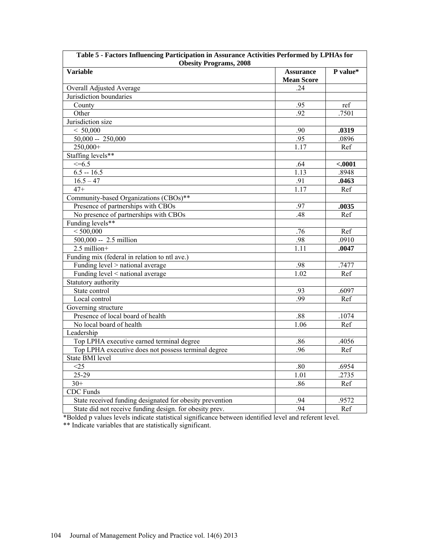| Table 5 - Factors Influencing Participation in Assurance Activities Performed by LPHAs for |                                       |          |  |
|--------------------------------------------------------------------------------------------|---------------------------------------|----------|--|
| <b>Obesity Programs, 2008</b><br>Variable                                                  | <b>Assurance</b><br><b>Mean Score</b> | P value* |  |
| Overall Adjusted Average                                                                   | 24                                    |          |  |
| Jurisdiction boundaries                                                                    |                                       |          |  |
| County                                                                                     | .95                                   | ref      |  |
| Other                                                                                      | .92                                   | .7501    |  |
| Jurisdiction size                                                                          |                                       |          |  |
| < 50,000                                                                                   | .90                                   | .0319    |  |
| $50,000 - 250,000$                                                                         | .95                                   | .0896    |  |
| $250,000+$                                                                                 | 1.17                                  | Ref      |  |
| Staffing levels**                                                                          |                                       |          |  |
| $\leq 6.5$                                                                                 | .64                                   | $-.0001$ |  |
| $6.5 - 16.5$                                                                               | 1.13                                  | .8948    |  |
| $\overline{16.5} - 47$                                                                     | .91                                   | .0463    |  |
| $47+$                                                                                      | $1.\overline{17}$                     | Ref      |  |
| Community-based Organizations (CBOs)**                                                     |                                       |          |  |
| Presence of partnerships with CBOs                                                         | .97                                   | .0035    |  |
| No presence of partnerships with CBOs                                                      | .48                                   | Ref      |  |
| Funding levels**                                                                           |                                       |          |  |
| < 500,000                                                                                  | .76                                   | Ref      |  |
| 500,000 -- 2.5 million                                                                     | .98                                   | .0910    |  |
| $2.5$ million+                                                                             | 1.11                                  | .0047    |  |
| Funding mix (federal in relation to ntl ave.)                                              |                                       |          |  |
| Funding level > national average                                                           | .98                                   | .7477    |  |
| Funding level < national average                                                           | 1.02                                  | Ref      |  |
| Statutory authority                                                                        |                                       |          |  |
| State control                                                                              | .93                                   | .6097    |  |
| Local control                                                                              | .99                                   | Ref      |  |
| Governing structure                                                                        |                                       |          |  |
| Presence of local board of health                                                          | .88                                   | .1074    |  |
| No local board of health                                                                   | 1.06                                  | Ref      |  |
| Leadership                                                                                 |                                       |          |  |
| Top LPHA executive earned terminal degree                                                  | .86                                   | .4056    |  |
| Top LPHA executive does not possess terminal degree                                        | .96                                   | Ref      |  |
| <b>State BMI</b> level                                                                     |                                       |          |  |
| $\overline{\leq}25$                                                                        | .80                                   | .6954    |  |
| $25-29$                                                                                    | 1.01                                  | .2735    |  |
| $30+$                                                                                      | .86                                   | Ref      |  |
| <b>CDC</b> Funds                                                                           |                                       |          |  |
| State received funding designated for obesity prevention                                   | .94                                   | .9572    |  |
| State did not receive funding design. for obesity prev.                                    | .94                                   | Ref      |  |
|                                                                                            |                                       |          |  |

| *Bolded p values levels indicate statistical significance between identified level and referent level. |  |
|--------------------------------------------------------------------------------------------------------|--|
| ** Indicate variables that are statistically significant.                                              |  |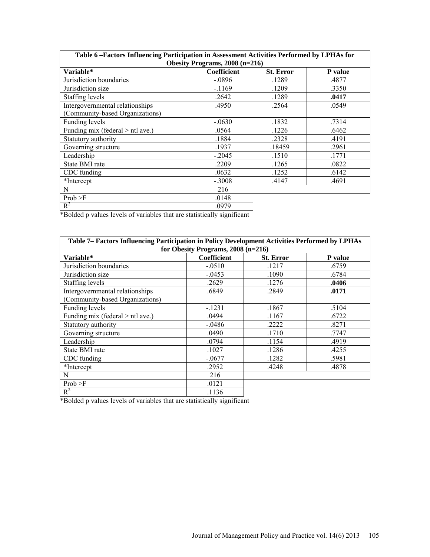| Table 6 -Factors Influencing Participation in Assessment Activities Performed by LPHAs for |             |                  |         |
|--------------------------------------------------------------------------------------------|-------------|------------------|---------|
| Obesity Programs, 2008 (n=216)                                                             |             |                  |         |
| Variable*                                                                                  | Coefficient | <b>St. Error</b> | P value |
| Jurisdiction boundaries                                                                    | $-.0896$    | .1289            | .4877   |
| Jurisdiction size                                                                          | $-1169$     | .1209            | .3350   |
| Staffing levels                                                                            | .2642       | .1289            | .0417   |
| Intergovernmental relationships                                                            | .4950       | .2564            | .0549   |
| (Community-based Organizations)                                                            |             |                  |         |
| Funding levels                                                                             | $-.0630$    | .1832            | .7314   |
| Funding mix (federal > ntl ave.)                                                           | .0564       | .1226            | .6462   |
| Statutory authority                                                                        | .1884       | .2328            | .4191   |
| Governing structure                                                                        | .1937       | .18459           | .2961   |
| Leadership                                                                                 | $-.2045$    | .1510            | .1771   |
| State BMI rate                                                                             | .2209       | .1265            | .0822   |
| CDC funding                                                                                | .0632       | .1252            | .6142   |
| *Intercept                                                                                 | $-.3008$    | .4147            | .4691   |
| N                                                                                          | 216         |                  |         |
| Prob > F                                                                                   | .0148       |                  |         |
| $R^2$                                                                                      | .0979       |                  |         |

\*Bolded p values levels of variables that are statistically significant

| Table 7- Factors Influencing Participation in Policy Development Activities Performed by LPHAs |                    |                  |         |
|------------------------------------------------------------------------------------------------|--------------------|------------------|---------|
| for Obesity Programs, 2008 (n=216)                                                             |                    |                  |         |
| Variable*                                                                                      | <b>Coefficient</b> | <b>St. Error</b> | P value |
| Jurisdiction boundaries                                                                        | $-0.0510$          | .1217            | .6759   |
| Jurisdiction size                                                                              | $-0.0453$          | .1090            | .6784   |
| Staffing levels                                                                                | .2629              | .1276            | .0406   |
| Intergovernmental relationships                                                                | .6849              | .2849            | .0171   |
| (Community-based Organizations)                                                                |                    |                  |         |
| Funding levels                                                                                 | $-1231$            | .1867            | .5104   |
| Funding mix (federal > ntl ave.)                                                               | .0494              | .1167            | .6722   |
| Statutory authority                                                                            | $-0.0486$          | .2222            | .8271   |
| Governing structure                                                                            | .0490              | .1710            | .7747   |
| Leadership                                                                                     | .0794              | .1154            | .4919   |
| State BMI rate                                                                                 | .1027              | .1286            | .4255   |
| CDC funding                                                                                    | $-.0677$           | .1282            | .5981   |
| *Intercept                                                                                     | .2952              | .4248            | .4878   |
| N                                                                                              | 216                |                  |         |
| Prob > F                                                                                       | .0121              |                  |         |
| $R^2$                                                                                          | .1136              |                  |         |

\*Bolded p values levels of variables that are statistically significant